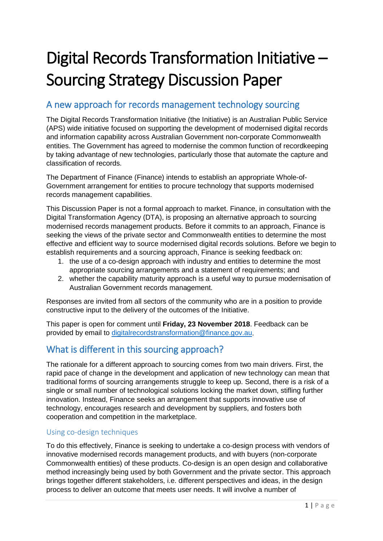# Digital Records Transformation Initiative – Sourcing Strategy Discussion Paper

### A new approach for records management technology sourcing

The Digital Records Transformation Initiative (the Initiative) is an Australian Public Service (APS) wide initiative focused on supporting the development of modernised digital records and information capability across Australian Government non-corporate Commonwealth entities. The Government has agreed to modernise the common function of recordkeeping by taking advantage of new technologies, particularly those that automate the capture and classification of records.

The Department of Finance (Finance) intends to establish an appropriate Whole-of-Government arrangement for entities to procure technology that supports modernised records management capabilities.

This Discussion Paper is not a formal approach to market. Finance, in consultation with the Digital Transformation Agency (DTA), is proposing an alternative approach to sourcing modernised records management products. Before it commits to an approach, Finance is seeking the views of the private sector and Commonwealth entities to determine the most effective and efficient way to source modernised digital records solutions. Before we begin to establish requirements and a sourcing approach, Finance is seeking feedback on:

- 1. the use of a co-design approach with industry and entities to determine the most appropriate sourcing arrangements and a statement of requirements; and
- 2. whether the capability maturity approach is a useful way to pursue modernisation of Australian Government records management.

Responses are invited from all sectors of the community who are in a position to provide constructive input to the delivery of the outcomes of the Initiative.

This paper is open for comment until **Friday, 23 November 2018**. Feedback can be provided by email to [digitalrecordstransformation@finance.gov.au.](mailto:digitalrecordstransformation@finance.gov.au)

## What is different in this sourcing approach?

The rationale for a different approach to sourcing comes from two main drivers. First, the rapid pace of change in the development and application of new technology can mean that traditional forms of sourcing arrangements struggle to keep up. Second, there is a risk of a single or small number of technological solutions locking the market down, stifling further innovation. Instead, Finance seeks an arrangement that supports innovative use of technology, encourages research and development by suppliers, and fosters both cooperation and competition in the marketplace.

#### Using co-design techniques

To do this effectively, Finance is seeking to undertake a co-design process with vendors of innovative modernised records management products, and with buyers (non-corporate Commonwealth entities) of these products. Co-design is an open design and collaborative method increasingly being used by both Government and the private sector. This approach brings together different stakeholders, i.e. different perspectives and ideas, in the design process to deliver an outcome that meets user needs. It will involve a number of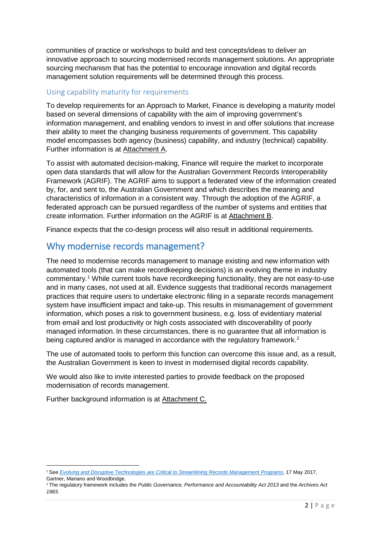communities of practice or workshops to build and test concepts/ideas to deliver an innovative approach to sourcing modernised records management solutions. An appropriate sourcing mechanism that has the potential to encourage innovation and digital records management solution requirements will be determined through this process.

#### Using capability maturity for requirements

To develop requirements for an Approach to Market, Finance is developing a maturity model based on several dimensions of capability with the aim of improving government's information management, and enabling vendors to invest in and offer solutions that increase their ability to meet the changing business requirements of government. This capability model encompasses both agency (business) capability, and industry (technical) capability. Further information is at Attachment A.

To assist with automated decision-making, Finance will require the market to incorporate open data standards that will allow for the Australian Government Records Interoperability Framework (AGRIF). The AGRIF aims to support a federated view of the information created by, for, and sent to, the Australian Government and which describes the meaning and characteristics of information in a consistent way. Through the adoption of the AGRIF, a federated approach can be pursued regardless of the number of systems and entities that create information. Further information on the AGRIF is at Attachment B.

Finance expects that the co-design process will also result in additional requirements.

#### Why modernise records management?

The need to modernise records management to manage existing and new information with automated tools (that can make recordkeeping decisions) is an evolving theme in industry commentary.[1](#page-1-0) While current tools have recordkeeping functionality, they are not easy-to-use and in many cases, not used at all. Evidence suggests that traditional records management practices that require users to undertake electronic filing in a separate records management system have insufficient impact and take-up. This results in mismanagement of government information, which poses a risk to government business, e.g. loss of evidentiary material from email and lost productivity or high costs associated with discoverability of poorly managed information. In these circumstances, there is no guarantee that all information is being captured and/or is managed in accordance with the regulatory framework.<sup>[2](#page-1-1)</sup>

The use of automated tools to perform this function can overcome this issue and, as a result, the Australian Government is keen to invest in modernised digital records capability.

We would also like to invite interested parties to provide feedback on the proposed modernisation of records management.

Further background information is at Attachment C.

<span id="page-1-0"></span> <sup>1</sup> See *[Evolving and Disruptive Technologies are Critical to Streamlining Records Management Programs](http://www.kmworld.com/Articles/News/News/Content-Automation-Emerges-to-Extract-Value-from-Fast-Growing-Stores-127948.aspx)*, 17 May 2017, Gartner, Mariano and Woodbridge.

<span id="page-1-1"></span><sup>2</sup> The regulatory framework includes the *Public Governance, Performance and Accountability Act 2013* and the *Archives Act 1983.*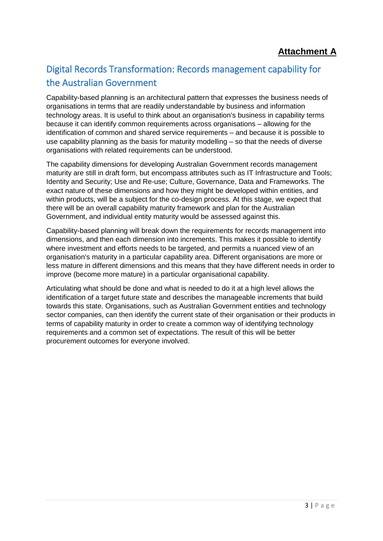# Digital Records Transformation: Records management capability for the Australian Government

Capability-based planning is an architectural pattern that expresses the business needs of organisations in terms that are readily understandable by business and information technology areas. It is useful to think about an organisation's business in capability terms because it can identify common requirements across organisations – allowing for the identification of common and shared service requirements – and because it is possible to use capability planning as the basis for maturity modelling – so that the needs of diverse organisations with related requirements can be understood.

The capability dimensions for developing Australian Government records management maturity are still in draft form, but encompass attributes such as IT Infrastructure and Tools; Identity and Security; Use and Re-use; Culture, Governance, Data and Frameworks. The exact nature of these dimensions and how they might be developed within entities, and within products, will be a subject for the co-design process. At this stage, we expect that there will be an overall capability maturity framework and plan for the Australian Government, and individual entity maturity would be assessed against this.

Capability-based planning will break down the requirements for records management into dimensions, and then each dimension into increments. This makes it possible to identify where investment and efforts needs to be targeted, and permits a nuanced view of an organisation's maturity in a particular capability area. Different organisations are more or less mature in different dimensions and this means that they have different needs in order to improve (become more mature) in a particular organisational capability.

Articulating what should be done and what is needed to do it at a high level allows the identification of a target future state and describes the manageable increments that build towards this state. Organisations, such as Australian Government entities and technology sector companies, can then identify the current state of their organisation or their products in terms of capability maturity in order to create a common way of identifying technology requirements and a common set of expectations. The result of this will be better procurement outcomes for everyone involved.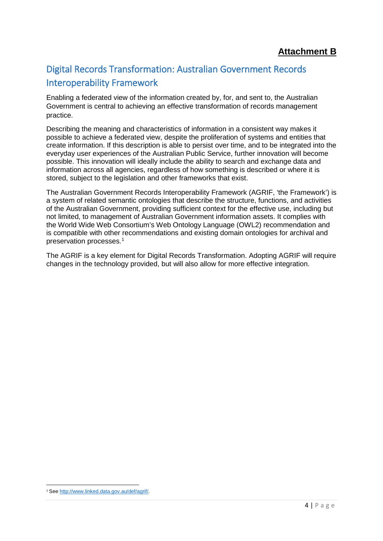# Digital Records Transformation: Australian Government Records Interoperability Framework

Enabling a federated view of the information created by, for, and sent to, the Australian Government is central to achieving an effective transformation of records management practice.

Describing the meaning and characteristics of information in a consistent way makes it possible to achieve a federated view, despite the proliferation of systems and entities that create information. If this description is able to persist over time, and to be integrated into the everyday user experiences of the Australian Public Service, further innovation will become possible. This innovation will ideally include the ability to search and exchange data and information across all agencies, regardless of how something is described or where it is stored, subject to the legislation and other frameworks that exist.

The Australian Government Records Interoperability Framework (AGRIF, 'the Framework') is a system of related semantic ontologies that describe the structure, functions, and activities of the Australian Government, providing sufficient context for the effective use, including but not limited, to management of Australian Government information assets. It complies with the World Wide Web Consortium's Web Ontology Language (OWL2) recommendation and is compatible with other recommendations and existing domain ontologies for archival and preservation processes.[1](#page-3-0)

The AGRIF is a key element for Digital Records Transformation. Adopting AGRIF will require changes in the technology provided, but will also allow for more effective integration.

<span id="page-3-0"></span> <sup>1</sup> See [http://www.linked.data.gov.au/def/agrif/.](http://www.linked.data.gov.au/def/agrif/)